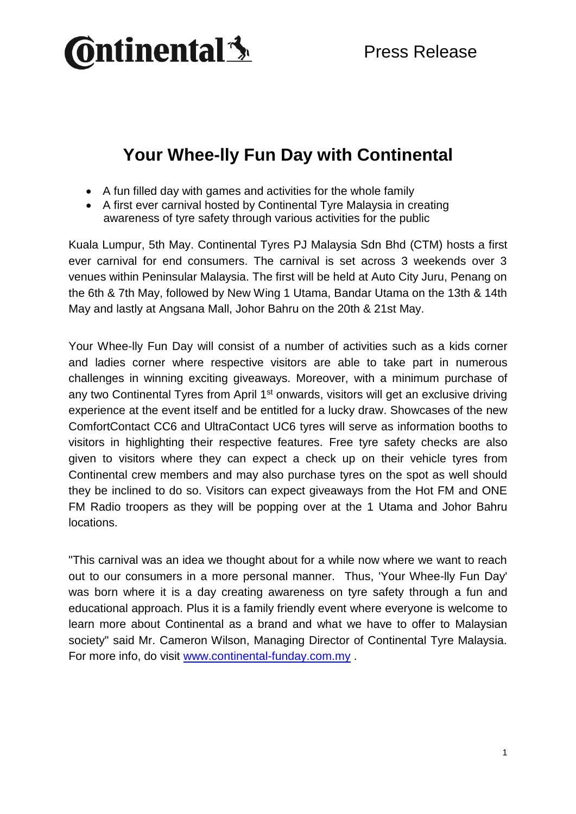

# **Your Whee-lly Fun Day with Continental**

- A fun filled day with games and activities for the whole family
- A first ever carnival hosted by Continental Tyre Malaysia in creating awareness of tyre safety through various activities for the public

Kuala Lumpur, 5th May. Continental Tyres PJ Malaysia Sdn Bhd (CTM) hosts a first ever carnival for end consumers. The carnival is set across 3 weekends over 3 venues within Peninsular Malaysia. The first will be held at Auto City Juru, Penang on the 6th & 7th May, followed by New Wing 1 Utama, Bandar Utama on the 13th & 14th May and lastly at Angsana Mall, Johor Bahru on the 20th & 21st May.

Your Whee-lly Fun Day will consist of a number of activities such as a kids corner and ladies corner where respective visitors are able to take part in numerous challenges in winning exciting giveaways. Moreover, with a minimum purchase of any two Continental Tyres from April 1<sup>st</sup> onwards, visitors will get an exclusive driving experience at the event itself and be entitled for a lucky draw. Showcases of the new ComfortContact CC6 and UltraContact UC6 tyres will serve as information booths to visitors in highlighting their respective features. Free tyre safety checks are also given to visitors where they can expect a check up on their vehicle tyres from Continental crew members and may also purchase tyres on the spot as well should they be inclined to do so. Visitors can expect giveaways from the Hot FM and ONE FM Radio troopers as they will be popping over at the 1 Utama and Johor Bahru locations.

"This carnival was an idea we thought about for a while now where we want to reach out to our consumers in a more personal manner. Thus, 'Your Whee-lly Fun Day' was born where it is a day creating awareness on tyre safety through a fun and educational approach. Plus it is a family friendly event where everyone is welcome to learn more about Continental as a brand and what we have to offer to Malaysian society" said Mr. Cameron Wilson, Managing Director of Continental Tyre Malaysia. For more info, do visit [www.continental-funday.com.my](http://www.continental-funday.com.my/) .